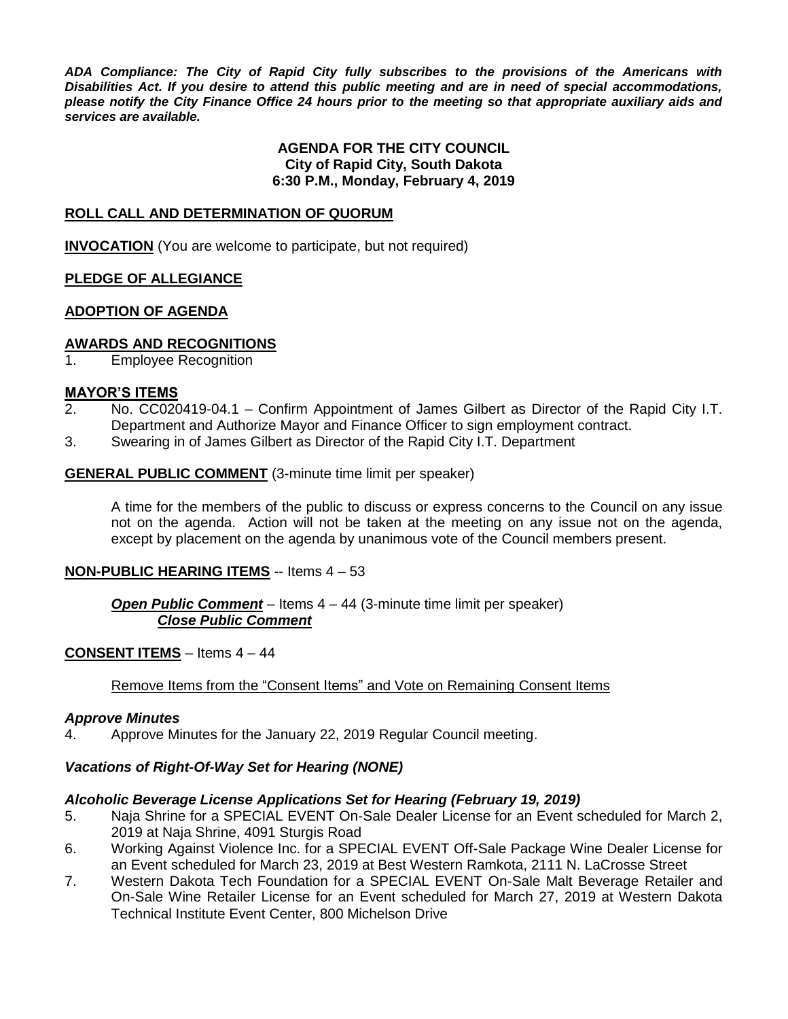*ADA Compliance: The City of Rapid City fully subscribes to the provisions of the Americans with Disabilities Act. If you desire to attend this public meeting and are in need of special accommodations, please notify the City Finance Office 24 hours prior to the meeting so that appropriate auxiliary aids and services are available.*

#### **AGENDA FOR THE CITY COUNCIL City of Rapid City, South Dakota 6:30 P.M., Monday, February 4, 2019**

#### **ROLL CALL AND DETERMINATION OF QUORUM**

**INVOCATION** (You are welcome to participate, but not required)

#### **PLEDGE OF ALLEGIANCE**

#### **ADOPTION OF AGENDA**

#### **AWARDS AND RECOGNITIONS**

1. Employee Recognition

#### **MAYOR'S ITEMS**

- 2. No. CC020419-04.1 Confirm Appointment of James Gilbert as Director of the Rapid City I.T. Department and Authorize Mayor and Finance Officer to sign employment contract.
- 3. Swearing in of James Gilbert as Director of the Rapid City I.T. Department

#### **GENERAL PUBLIC COMMENT** (3-minute time limit per speaker)

A time for the members of the public to discuss or express concerns to the Council on any issue not on the agenda. Action will not be taken at the meeting on any issue not on the agenda, except by placement on the agenda by unanimous vote of the Council members present.

#### **NON-PUBLIC HEARING ITEMS** -- Items 4 – 53

#### *Open Public Comment* – Items 4 – 44 (3-minute time limit per speaker) *Close Public Comment*

#### **CONSENT ITEMS** – Items 4 – 44

#### Remove Items from the "Consent Items" and Vote on Remaining Consent Items

#### *Approve Minutes*

4. Approve Minutes for the January 22, 2019 Regular Council meeting.

#### *Vacations of Right-Of-Way Set for Hearing (NONE)*

#### *Alcoholic Beverage License Applications Set for Hearing (February 19, 2019)*

- 5. Naja Shrine for a SPECIAL EVENT On-Sale Dealer License for an Event scheduled for March 2, 2019 at Naja Shrine, 4091 Sturgis Road
- 6. Working Against Violence Inc. for a SPECIAL EVENT Off-Sale Package Wine Dealer License for an Event scheduled for March 23, 2019 at Best Western Ramkota, 2111 N. LaCrosse Street
- 7. Western Dakota Tech Foundation for a SPECIAL EVENT On-Sale Malt Beverage Retailer and On-Sale Wine Retailer License for an Event scheduled for March 27, 2019 at Western Dakota Technical Institute Event Center, 800 Michelson Drive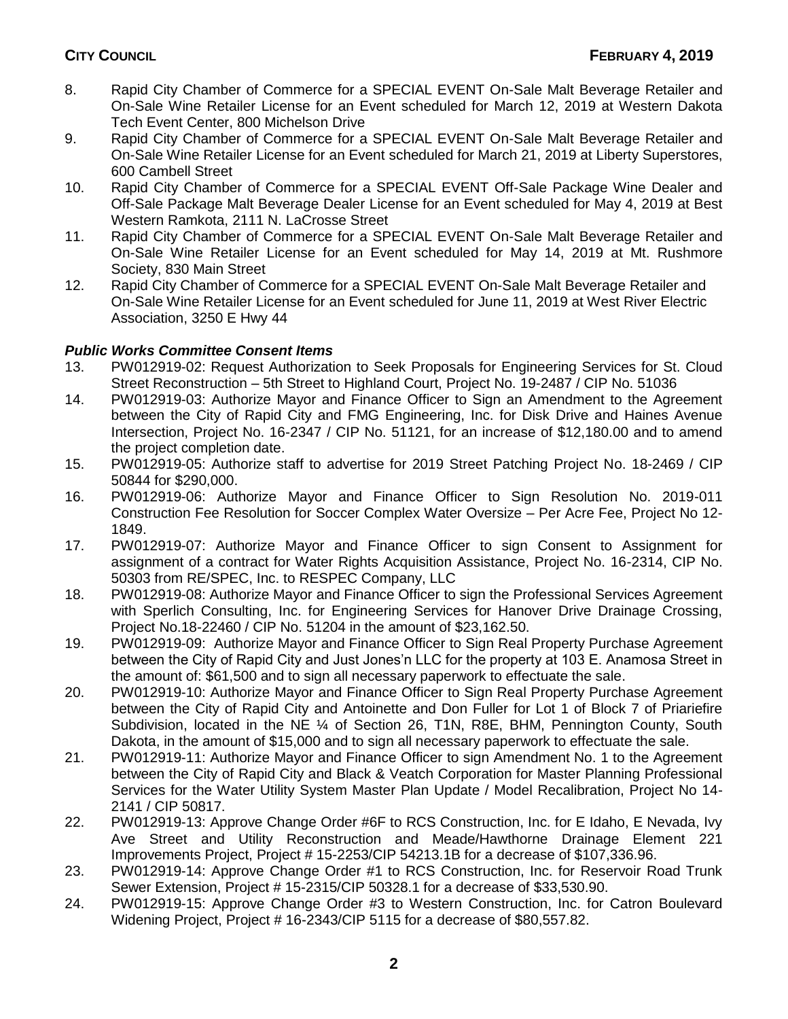- 8. Rapid City Chamber of Commerce for a SPECIAL EVENT On-Sale Malt Beverage Retailer and On-Sale Wine Retailer License for an Event scheduled for March 12, 2019 at Western Dakota Tech Event Center, 800 Michelson Drive
- 9. Rapid City Chamber of Commerce for a SPECIAL EVENT On-Sale Malt Beverage Retailer and On-Sale Wine Retailer License for an Event scheduled for March 21, 2019 at Liberty Superstores, 600 Cambell Street
- 10. Rapid City Chamber of Commerce for a SPECIAL EVENT Off-Sale Package Wine Dealer and Off-Sale Package Malt Beverage Dealer License for an Event scheduled for May 4, 2019 at Best Western Ramkota, 2111 N. LaCrosse Street
- 11. Rapid City Chamber of Commerce for a SPECIAL EVENT On-Sale Malt Beverage Retailer and On-Sale Wine Retailer License for an Event scheduled for May 14, 2019 at Mt. Rushmore Society, 830 Main Street
- 12. Rapid City Chamber of Commerce for a SPECIAL EVENT On-Sale Malt Beverage Retailer and On-Sale Wine Retailer License for an Event scheduled for June 11, 2019 at West River Electric Association, 3250 E Hwy 44

## *Public Works Committee Consent Items*

- 13. PW012919-02: Request Authorization to Seek Proposals for Engineering Services for St. Cloud Street Reconstruction – 5th Street to Highland Court, Project No. 19-2487 / CIP No. 51036
- 14. PW012919-03: Authorize Mayor and Finance Officer to Sign an Amendment to the Agreement between the City of Rapid City and FMG Engineering, Inc. for Disk Drive and Haines Avenue Intersection, Project No. 16-2347 / CIP No. 51121, for an increase of \$12,180.00 and to amend the project completion date.
- 15. PW012919-05: Authorize staff to advertise for 2019 Street Patching Project No. 18-2469 / CIP 50844 for \$290,000.
- 16. PW012919-06: Authorize Mayor and Finance Officer to Sign Resolution No. 2019-011 Construction Fee Resolution for Soccer Complex Water Oversize – Per Acre Fee, Project No 12- 1849.
- 17. PW012919-07: Authorize Mayor and Finance Officer to sign Consent to Assignment for assignment of a contract for Water Rights Acquisition Assistance, Project No. 16-2314, CIP No. 50303 from RE/SPEC, Inc. to RESPEC Company, LLC
- 18. PW012919-08: Authorize Mayor and Finance Officer to sign the Professional Services Agreement with Sperlich Consulting, Inc. for Engineering Services for Hanover Drive Drainage Crossing, Project No.18-22460 / CIP No. 51204 in the amount of \$23,162.50.
- 19. PW012919-09: Authorize Mayor and Finance Officer to Sign Real Property Purchase Agreement between the City of Rapid City and Just Jones'n LLC for the property at 103 E. Anamosa Street in the amount of: \$61,500 and to sign all necessary paperwork to effectuate the sale.
- 20. PW012919-10: Authorize Mayor and Finance Officer to Sign Real Property Purchase Agreement between the City of Rapid City and Antoinette and Don Fuller for Lot 1 of Block 7 of Priariefire Subdivision, located in the NE ¼ of Section 26, T1N, R8E, BHM, Pennington County, South Dakota, in the amount of \$15,000 and to sign all necessary paperwork to effectuate the sale.
- 21. PW012919-11: Authorize Mayor and Finance Officer to sign Amendment No. 1 to the Agreement between the City of Rapid City and Black & Veatch Corporation for Master Planning Professional Services for the Water Utility System Master Plan Update / Model Recalibration, Project No 14- 2141 / CIP 50817.
- 22. PW012919-13: Approve Change Order #6F to RCS Construction, Inc. for E Idaho, E Nevada, Ivy Ave Street and Utility Reconstruction and Meade/Hawthorne Drainage Element 221 Improvements Project, Project # 15-2253/CIP 54213.1B for a decrease of \$107,336.96.
- 23. PW012919-14: Approve Change Order #1 to RCS Construction, Inc. for Reservoir Road Trunk Sewer Extension, Project # 15-2315/CIP 50328.1 for a decrease of \$33,530.90.
- 24. PW012919-15: Approve Change Order #3 to Western Construction, Inc. for Catron Boulevard Widening Project, Project # 16-2343/CIP 5115 for a decrease of \$80,557.82.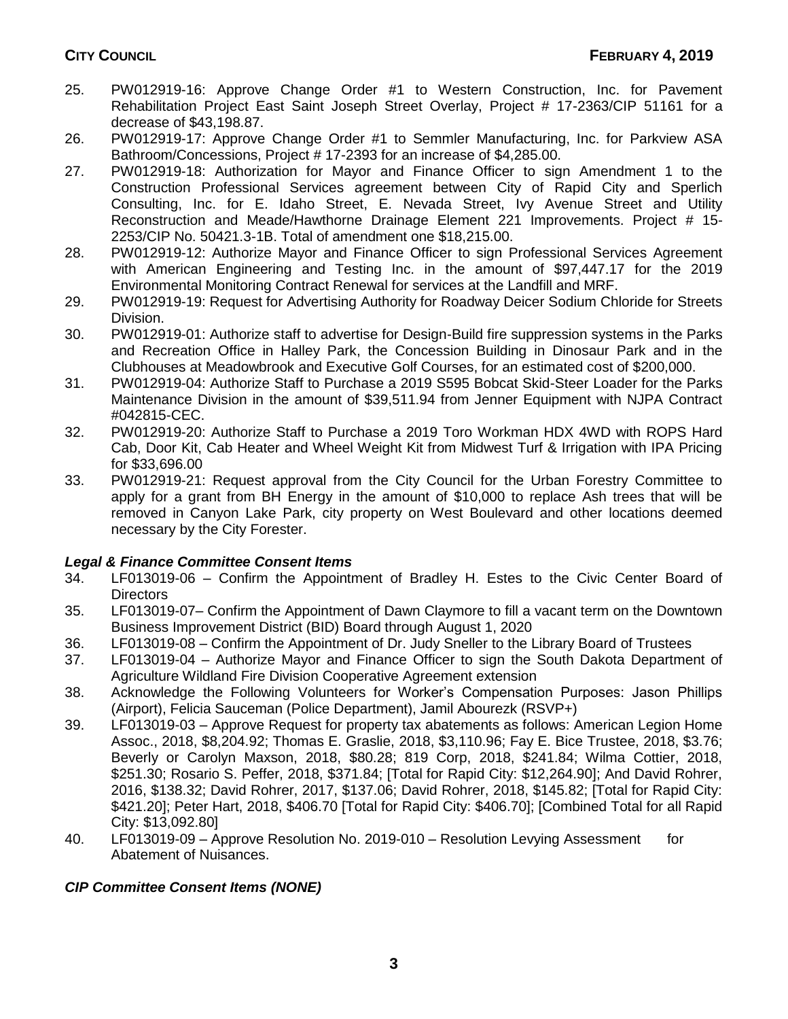- 25. PW012919-16: Approve Change Order #1 to Western Construction, Inc. for Pavement Rehabilitation Project East Saint Joseph Street Overlay, Project # 17-2363/CIP 51161 for a decrease of \$43,198.87.
- 26. PW012919-17: Approve Change Order #1 to Semmler Manufacturing, Inc. for Parkview ASA Bathroom/Concessions, Project # 17-2393 for an increase of \$4,285.00.
- 27. PW012919-18: Authorization for Mayor and Finance Officer to sign Amendment 1 to the Construction Professional Services agreement between City of Rapid City and Sperlich Consulting, Inc. for E. Idaho Street, E. Nevada Street, Ivy Avenue Street and Utility Reconstruction and Meade/Hawthorne Drainage Element 221 Improvements. Project # 15- 2253/CIP No. 50421.3-1B. Total of amendment one \$18,215.00.
- 28. PW012919-12: Authorize Mayor and Finance Officer to sign Professional Services Agreement with American Engineering and Testing Inc. in the amount of \$97,447.17 for the 2019 Environmental Monitoring Contract Renewal for services at the Landfill and MRF.
- 29. PW012919-19: Request for Advertising Authority for Roadway Deicer Sodium Chloride for Streets Division.
- 30. PW012919-01: Authorize staff to advertise for Design-Build fire suppression systems in the Parks and Recreation Office in Halley Park, the Concession Building in Dinosaur Park and in the Clubhouses at Meadowbrook and Executive Golf Courses, for an estimated cost of \$200,000.
- 31. PW012919-04: Authorize Staff to Purchase a 2019 S595 Bobcat Skid-Steer Loader for the Parks Maintenance Division in the amount of \$39,511.94 from Jenner Equipment with NJPA Contract #042815-CEC.
- 32. PW012919-20: Authorize Staff to Purchase a 2019 Toro Workman HDX 4WD with ROPS Hard Cab, Door Kit, Cab Heater and Wheel Weight Kit from Midwest Turf & Irrigation with IPA Pricing for \$33,696.00
- 33. PW012919-21: Request approval from the City Council for the Urban Forestry Committee to apply for a grant from BH Energy in the amount of \$10,000 to replace Ash trees that will be removed in Canyon Lake Park, city property on West Boulevard and other locations deemed necessary by the City Forester.

## *Legal & Finance Committee Consent Items*

- 34. LF013019-06 Confirm the Appointment of Bradley H. Estes to the Civic Center Board of **Directors**
- 35. LF013019-07– Confirm the Appointment of Dawn Claymore to fill a vacant term on the Downtown Business Improvement District (BID) Board through August 1, 2020
- 36. LF013019-08 Confirm the Appointment of Dr. Judy Sneller to the Library Board of Trustees
- 37. LF013019-04 Authorize Mayor and Finance Officer to sign the South Dakota Department of Agriculture Wildland Fire Division Cooperative Agreement extension
- 38. Acknowledge the Following Volunteers for Worker's Compensation Purposes: Jason Phillips (Airport), Felicia Sauceman (Police Department), Jamil Abourezk (RSVP+)
- 39. LF013019-03 Approve Request for property tax abatements as follows: American Legion Home Assoc., 2018, \$8,204.92; Thomas E. Graslie, 2018, \$3,110.96; Fay E. Bice Trustee, 2018, \$3.76; Beverly or Carolyn Maxson, 2018, \$80.28; 819 Corp, 2018, \$241.84; Wilma Cottier, 2018, \$251.30; Rosario S. Peffer, 2018, \$371.84; [Total for Rapid City: \$12,264.90]; And David Rohrer, 2016, \$138.32; David Rohrer, 2017, \$137.06; David Rohrer, 2018, \$145.82; [Total for Rapid City: \$421.20]; Peter Hart, 2018, \$406.70 [Total for Rapid City: \$406.70]; [Combined Total for all Rapid City: \$13,092.80]
- 40. LF013019-09 Approve Resolution No. 2019-010 Resolution Levying Assessment for Abatement of Nuisances.

## *CIP Committee Consent Items (NONE)*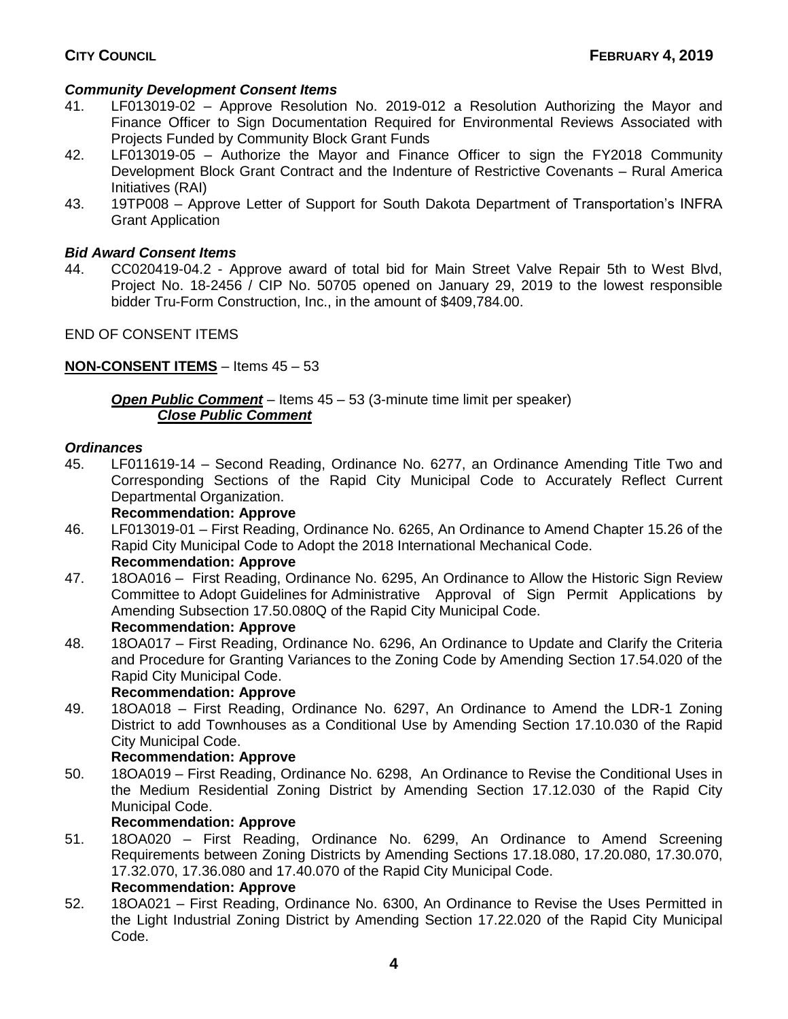#### *Community Development Consent Items*

- 41. LF013019-02 Approve Resolution No. 2019-012 a Resolution Authorizing the Mayor and Finance Officer to Sign Documentation Required for Environmental Reviews Associated with Projects Funded by Community Block Grant Funds
- 42. LF013019-05 Authorize the Mayor and Finance Officer to sign the FY2018 Community Development Block Grant Contract and the Indenture of Restrictive Covenants – Rural America Initiatives (RAI)
- 43. 19TP008 Approve Letter of Support for South Dakota Department of Transportation's INFRA Grant Application

#### *Bid Award Consent Items*

44. CC020419-04.2 - Approve award of total bid for Main Street Valve Repair 5th to West Blvd, Project No. 18-2456 / CIP No. 50705 opened on January 29, 2019 to the lowest responsible bidder Tru-Form Construction, Inc., in the amount of \$409,784.00.

END OF CONSENT ITEMS

#### **NON-CONSENT ITEMS** – Items 45 – 53

*Open Public Comment* – Items 45 – 53 (3-minute time limit per speaker) *Close Public Comment*

#### *Ordinances*

45. LF011619-14 – Second Reading, Ordinance No. 6277, an Ordinance Amending Title Two and Corresponding Sections of the Rapid City Municipal Code to Accurately Reflect Current Departmental Organization.

#### **Recommendation: Approve**

- 46. LF013019-01 First Reading, Ordinance No. 6265, An Ordinance to Amend Chapter 15.26 of the Rapid City Municipal Code to Adopt the 2018 International Mechanical Code. **Recommendation: Approve**
- 47. 18OA016 First Reading, Ordinance No. 6295, An Ordinance to Allow the Historic Sign Review Committee to Adopt Guidelines for Administrative Approval of Sign Permit Applications by Amending Subsection 17.50.080Q of the Rapid City Municipal Code. **Recommendation: Approve**

# 48. 18OA017 – First Reading, Ordinance No. 6296, An Ordinance to Update and Clarify the Criteria

and Procedure for Granting Variances to the Zoning Code by Amending Section 17.54.020 of the Rapid City Municipal Code.

#### **Recommendation: Approve**

49. 18OA018 – First Reading, Ordinance No. 6297, An Ordinance to Amend the LDR-1 Zoning District to add Townhouses as a Conditional Use by Amending Section 17.10.030 of the Rapid City Municipal Code.

#### **Recommendation: Approve**

50. 18OA019 – First Reading, Ordinance No. 6298, An Ordinance to Revise the Conditional Uses in the Medium Residential Zoning District by Amending Section 17.12.030 of the Rapid City Municipal Code.

#### **Recommendation: Approve**

- 51. 18OA020 First Reading, Ordinance No. 6299, An Ordinance to Amend Screening Requirements between Zoning Districts by Amending Sections 17.18.080, 17.20.080, 17.30.070, 17.32.070, 17.36.080 and 17.40.070 of the Rapid City Municipal Code. **Recommendation: Approve**
- 52. 18OA021 First Reading, Ordinance No. 6300, An Ordinance to Revise the Uses Permitted in the Light Industrial Zoning District by Amending Section 17.22.020 of the Rapid City Municipal Code.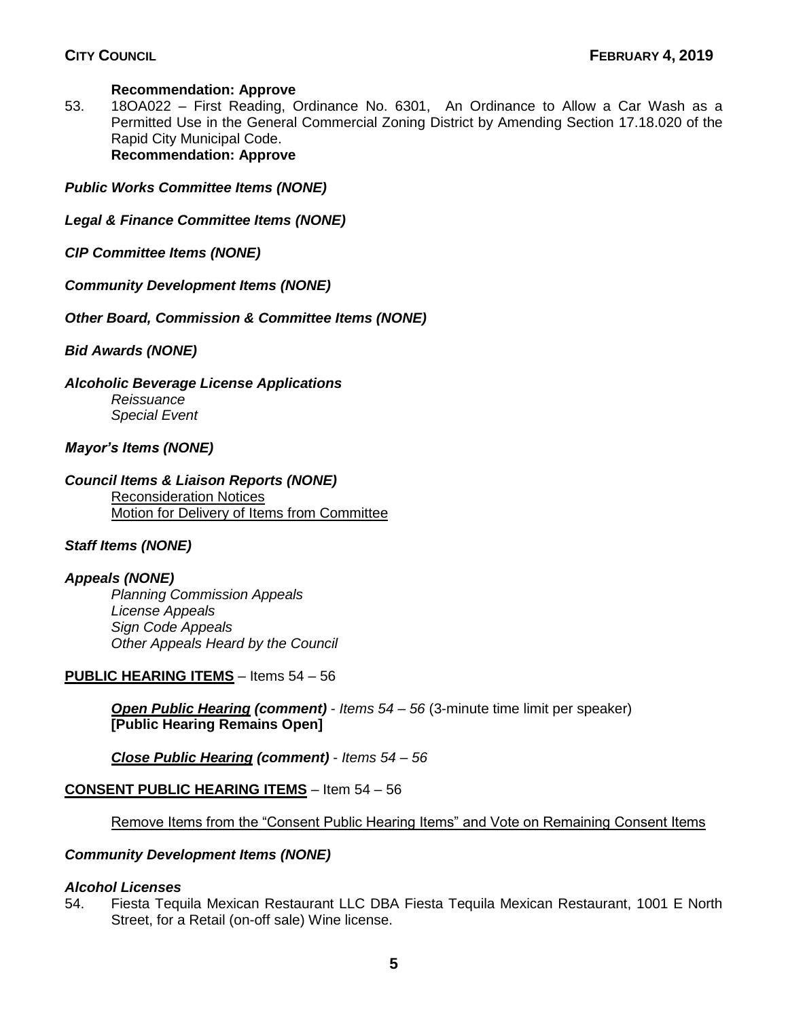#### **Recommendation: Approve**

53. 18OA022 – First Reading, Ordinance No. 6301, An Ordinance to Allow a Car Wash as a Permitted Use in the General Commercial Zoning District by Amending Section 17.18.020 of the Rapid City Municipal Code. **Recommendation: Approve**

*Public Works Committee Items (NONE)*

- *Legal & Finance Committee Items (NONE)*
- *CIP Committee Items (NONE)*
- *Community Development Items (NONE)*
- *Other Board, Commission & Committee Items (NONE)*

*Bid Awards (NONE)*

*Alcoholic Beverage License Applications*

*Reissuance Special Event*

*Mayor's Items (NONE)*

## *Council Items & Liaison Reports (NONE)*

Reconsideration Notices Motion for Delivery of Items from Committee

## *Staff Items (NONE)*

#### *Appeals (NONE)*

*Planning Commission Appeals License Appeals Sign Code Appeals Other Appeals Heard by the Council*

#### **PUBLIC HEARING ITEMS** – Items 54 – 56

*Open Public Hearing (comment)* - *Items 54 – 56* (3-minute time limit per speaker) **[Public Hearing Remains Open]**

*Close Public Hearing (comment)* - *Items 54 – 56*

## **CONSENT PUBLIC HEARING ITEMS** – Item 54 – 56

Remove Items from the "Consent Public Hearing Items" and Vote on Remaining Consent Items

#### *Community Development Items (NONE)*

#### *Alcohol Licenses*

54. Fiesta Tequila Mexican Restaurant LLC DBA Fiesta Tequila Mexican Restaurant, 1001 E North Street, for a Retail (on-off sale) Wine license.